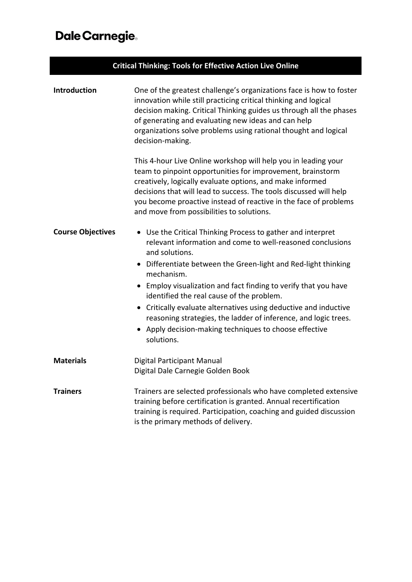## Dale Carnegie.

| <b>Critical Thinking: Tools for Effective Action Live Online</b> |                                                                                                                                                                                                                                                                                                                                                                                                                                                                                                                                                          |  |
|------------------------------------------------------------------|----------------------------------------------------------------------------------------------------------------------------------------------------------------------------------------------------------------------------------------------------------------------------------------------------------------------------------------------------------------------------------------------------------------------------------------------------------------------------------------------------------------------------------------------------------|--|
| Introduction                                                     | One of the greatest challenge's organizations face is how to foster<br>innovation while still practicing critical thinking and logical<br>decision making. Critical Thinking guides us through all the phases<br>of generating and evaluating new ideas and can help<br>organizations solve problems using rational thought and logical<br>decision-making.                                                                                                                                                                                              |  |
|                                                                  | This 4-hour Live Online workshop will help you in leading your<br>team to pinpoint opportunities for improvement, brainstorm<br>creatively, logically evaluate options, and make informed<br>decisions that will lead to success. The tools discussed will help<br>you become proactive instead of reactive in the face of problems<br>and move from possibilities to solutions.                                                                                                                                                                         |  |
| <b>Course Objectives</b>                                         | • Use the Critical Thinking Process to gather and interpret<br>relevant information and come to well-reasoned conclusions<br>and solutions.<br>• Differentiate between the Green-light and Red-light thinking<br>mechanism.<br>• Employ visualization and fact finding to verify that you have<br>identified the real cause of the problem.<br>• Critically evaluate alternatives using deductive and inductive<br>reasoning strategies, the ladder of inference, and logic trees.<br>Apply decision-making techniques to choose effective<br>solutions. |  |
| <b>Materials</b>                                                 | Digital Participant Manual<br>Digital Dale Carnegie Golden Book                                                                                                                                                                                                                                                                                                                                                                                                                                                                                          |  |
| <b>Trainers</b>                                                  | Trainers are selected professionals who have completed extensive<br>training before certification is granted. Annual recertification<br>training is required. Participation, coaching and guided discussion<br>is the primary methods of delivery.                                                                                                                                                                                                                                                                                                       |  |